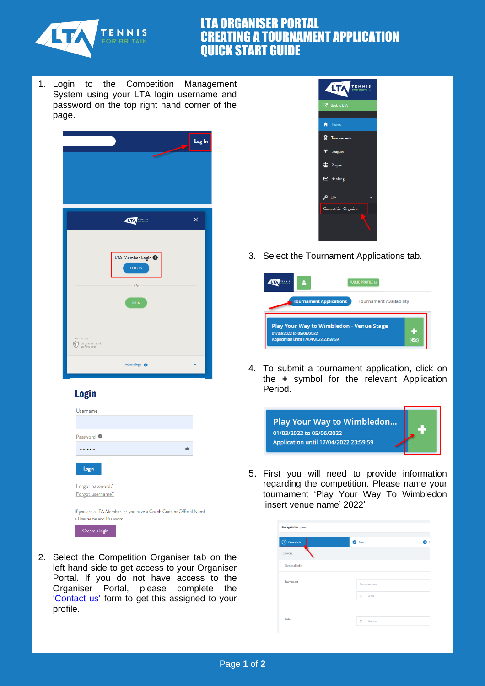

## LTA ORGANISER PORTAL CREATING A TOURNAMENT APPLICATION QUICK START GUIDE

1. Login to the Competition Management System using your LTA login username and password on the top right hand corner of the page.



## **Login**

| Username                                                                                       |  |
|------------------------------------------------------------------------------------------------|--|
|                                                                                                |  |
| Password <sup>O</sup>                                                                          |  |
| $\odot$                                                                                        |  |
| Login                                                                                          |  |
| Forgot password?                                                                               |  |
| Forgot username?                                                                               |  |
| If you are a LTA Member, or you have a Coach Code or Official Numb<br>a Username and Password. |  |
| Create a login                                                                                 |  |

2. Select the Competition Organiser tab on the left hand side to get access to your Organiser Portal. If you do not have access to the Organiser Portal, please complete the ['Contact us'](https://www.lta.org.uk/about-us/contact-us/) form to get this assigned to your profile.



3. Select the Tournament Applications tab.

|                                | <b>PUBLIC PROFILE [2]</b>                |    |
|--------------------------------|------------------------------------------|----|
| <b>Tournament Applications</b> | <b>Tournament Availability</b>           |    |
| 01/03/2022 to 05/06/2022       | Play Your Way to Wimbledon - Venue Stage | ε, |
|                                |                                          |    |

4. To submit a tournament application, click on the **+** symbol for the relevant Application Period.



5. First you will need to provide information regarding the competition. Please name your tournament 'Play Your Way To Wimbledon 'insert venue name' 2022'

| General info | <b>B</b> Events      |  |
|--------------|----------------------|--|
| CANCEL       |                      |  |
| General info |                      |  |
| Tournament   | Tournament name      |  |
|              |                      |  |
|              | Venue<br>$\alpha$    |  |
|              |                      |  |
| Dates        | Start date<br>$\Box$ |  |